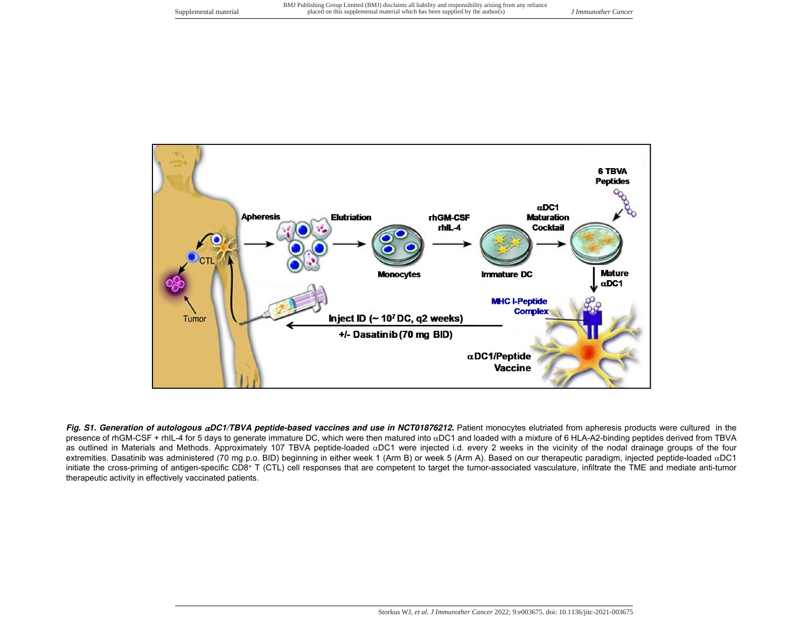

Fig. S1. Generation of autologous aDC1/TBVA peptide-based vaccines and use in NCT01876212. Patient monocytes elutriated from apheresis products were cultured in the presence of rhGM-CSF + rhIL-4 for 5 days to generate immature DC, which were then matured into  $\alpha$ DC1 and loaded with a mixture of 6 HLA-A2-binding peptides derived from TBVA as outlined in Materials and Methods. Approximately 107 TBVA peptide-loaded  $\alpha$ DC1 were injected i.d. every 2 weeks in the vicinity of the nodal drainage groups of the four extremities. Dasatinib was administered (70 mg p.o. BID) beginning in either week 1 (Arm B) or week 5 (Arm A). Based on our therapeutic paradigm, injected peptide-loaded  $\alpha$ DC1 initiate the cross-priming of antigen-specific CD8+ T (CTL) cell responses that are competent to target the tumor-associated vasculature, infiltrate the TME and mediate anti-tumor therapeutic activity in effectively vaccinated patients.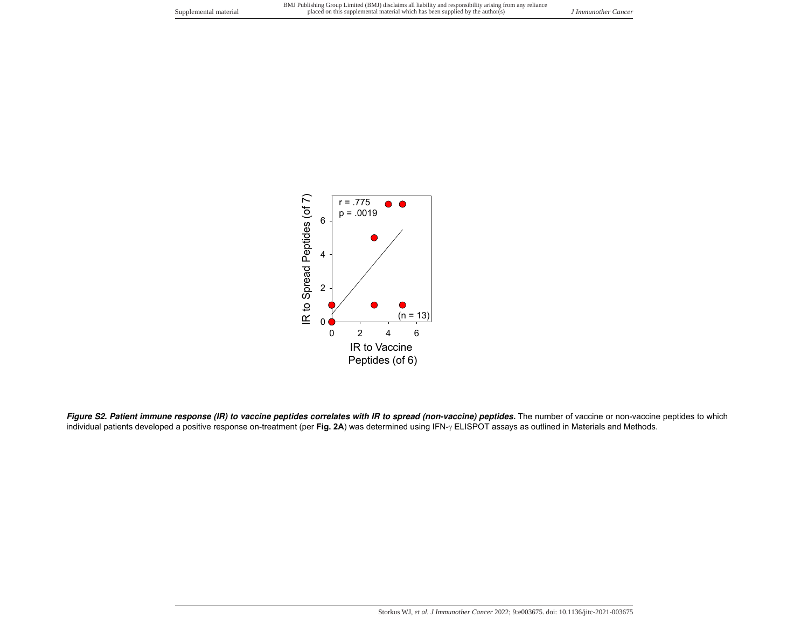

Figure S2. Patient immune response (IR) to vaccine peptides correlates with IR to spread (non-vaccine) peptides. The number of vaccine or non-vaccine peptides to which individual patients developed a positive response on-treatment (per Fig. 2A) was determined using IFN- $\gamma$  ELISPOT assays as outlined in Materials and Methods.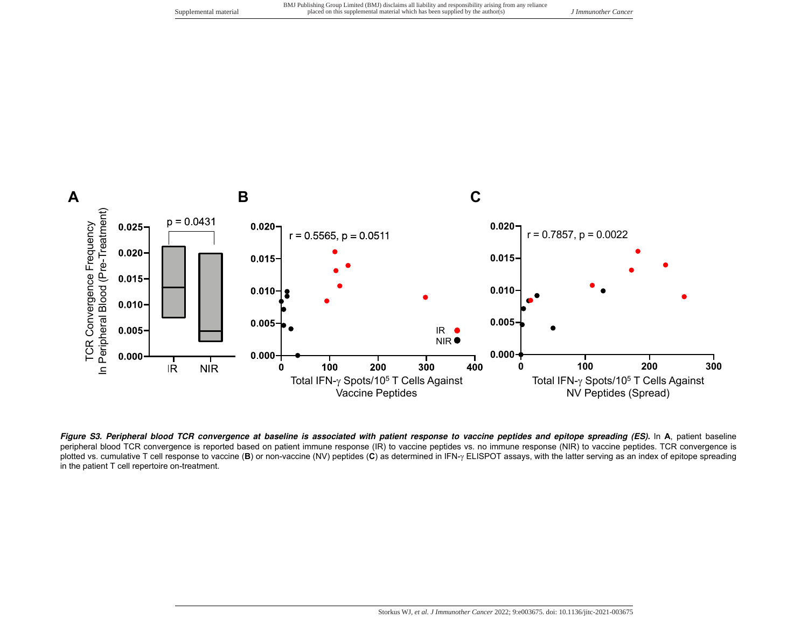

**Figure S3. Peripheral blood TCR convergence at baseline is associated with patient response to vaccine peptides and epitope spreading (ES).** In **A**, patient baseline peripheral blood TCR convergence is reported based on patient immune response (IR) to vaccine peptides vs. no immune response (NIR) to vaccine peptides. TCR convergence is plotted vs. cumulative T cell response to vaccine (B) or non-vaccine (NV) peptides (C) as determined in IFN- $\gamma$  ELISPOT assays, with the latter serving as an index of epitope spreading in the patient T cell repertoire on-treatment.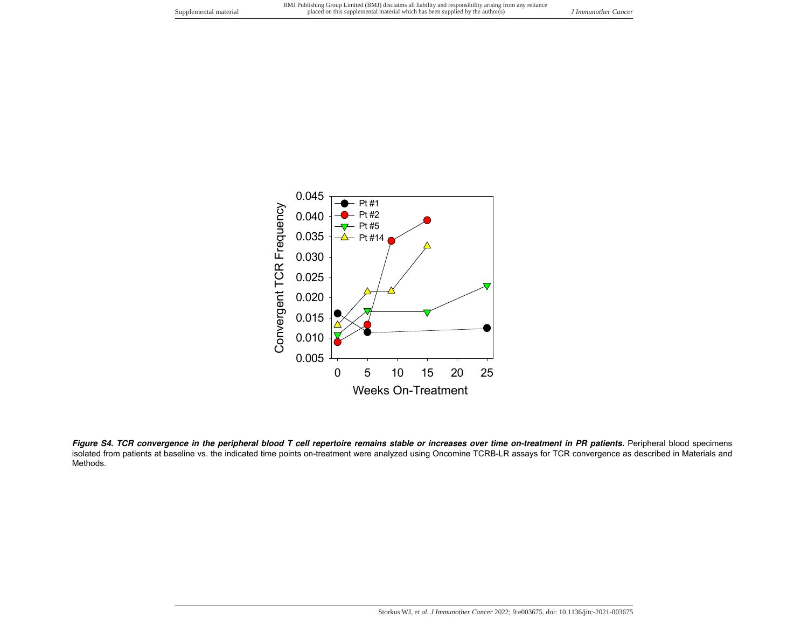

Figure S4. TCR convergence in the peripheral blood T cell repertoire remains stable or increases over time on-treatment in PR patients. Peripheral blood specimens isolated from patients at baseline vs. the indicated time points on-treatment were analyzed using Oncomine TCRB-LR assays for TCR convergence as described in Materials and Methods.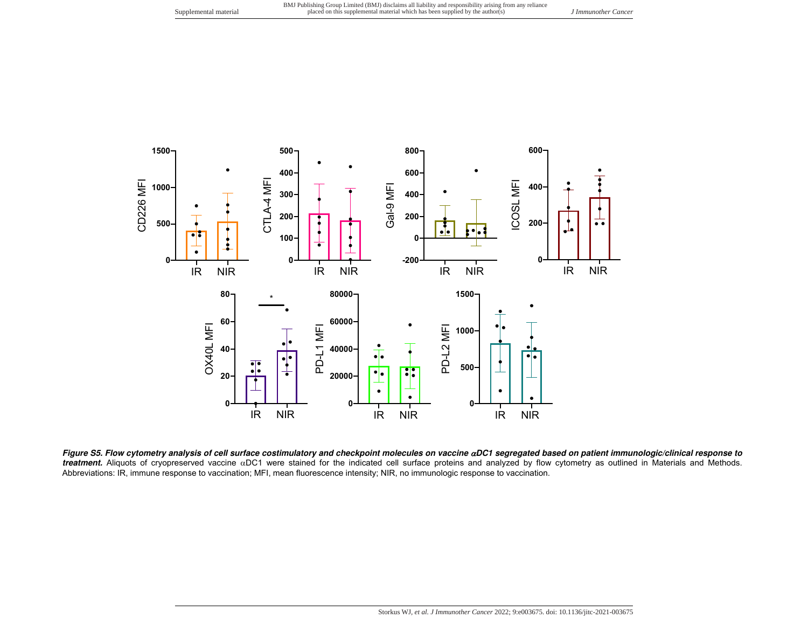

**Figure S5. Flow cytometry analysis of cell surface costimulatory and checkpoint molecules on vaccine DC1 segregated based on patient immunologic/clinical response to** treatment. Aliquots of cryopreserved vaccine aDC1 were stained for the indicated cell surface proteins and analyzed by flow cytometry as outlined in Materials and Methods. Abbreviations: IR, immune response to vaccination; MFI, mean fluorescence intensity; NIR, no immunologic response to vaccination.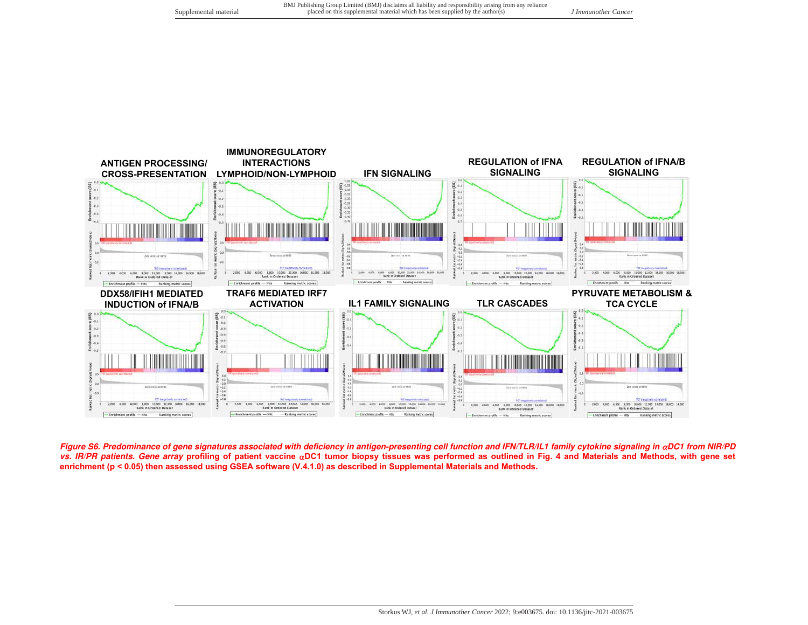

Figure S6. Predominance of gene signatures associated with deficiency in antigen-presenting cell function and IFN/TLR/IL1 family cytokine signaling in  $\alpha$ DC1 from NIR/PD **vs. IR/PR patients. Gene array profiling of patient vaccine DC1 tumor biopsy tissues was performed as outlined in Fig. 4 and Materials and Methods, with gene set enrichment (p < 0.05) then assessed using GSEA software (V.4.1.0) as described in Supplemental Materials and Methods.**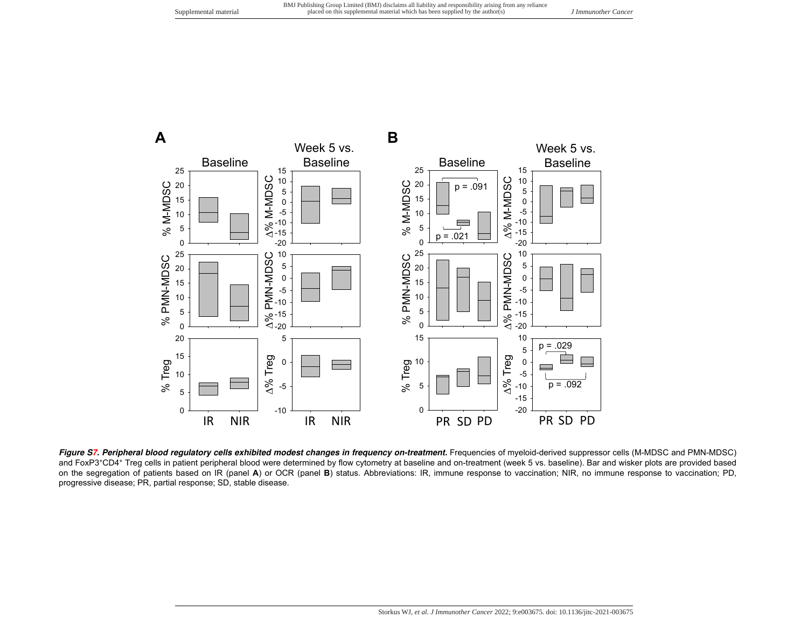

Figure S7. Peripheral blood regulatory cells exhibited modest changes in frequency on-treatment. Frequencies of myeloid-derived suppressor cells (M-MDSC and PMN-MDSC) and FoxP3<sup>+</sup>CD4<sup>+</sup> Treg cells in patient peripheral blood were determined by flow cytometry at baseline and on-treatment (week 5 vs. baseline). Bar and wisker plots are provided based on the segregation of patients based on IR (panel **A**) or OCR (panel **B**) status. Abbreviations: IR, immune response to vaccination; NIR, no immune response to vaccination; PD, progressive disease; PR, partial response; SD, stable disease.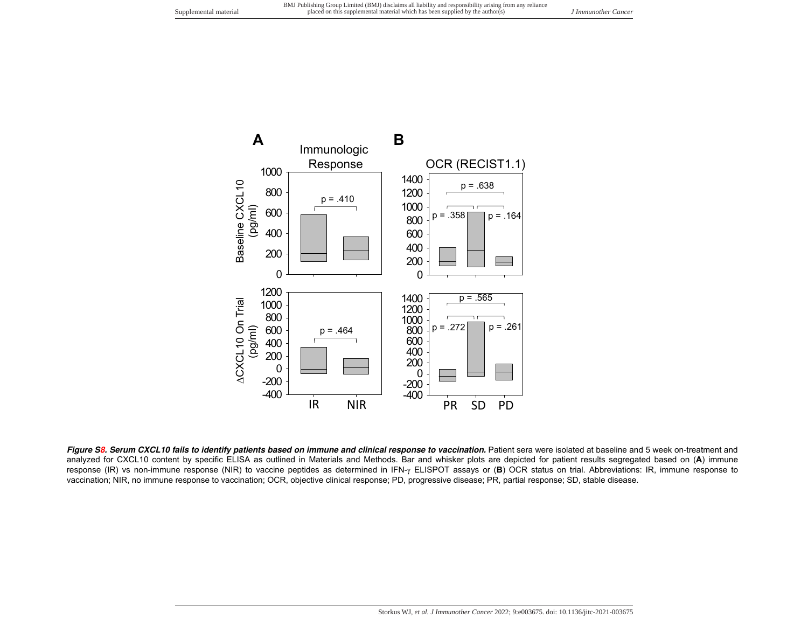

Figure S8. Serum CXCL10 fails to identify patients based on immune and clinical response to vaccination. Patient sera were isolated at baseline and 5 week on-treatment and analyzed for CXCL10 content by specific ELISA as outlined in Materials and Methods. Bar and whisker plots are depicted for patient results segregated based on (**A**) immune response (IR) vs non-immune response (NIR) to vaccine peptides as determined in IFN- $\gamma$  ELISPOT assays or (B) OCR status on trial. Abbreviations: IR, immune response to vaccination; NIR, no immune response to vaccination; OCR, objective clinical response; PD, progressive disease; PR, partial response; SD, stable disease.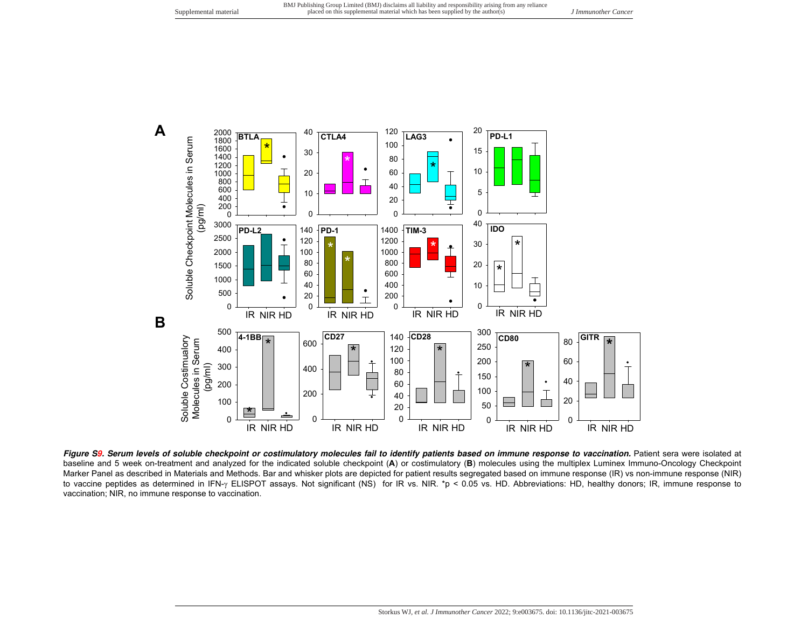

Figure S9. Serum levels of soluble checkpoint or costimulatory molecules fail to identify patients based on immune response to vaccination. Patient sera were isolated at baseline and 5 week on-treatment and analyzed for the indicated soluble checkpoint (**A**) or costimulatory (**B**) molecules using the multiplex Luminex Immuno-Oncology Checkpoint Marker Panel as described in Materials and Methods. Bar and whisker plots are depicted for patient results segregated based on immune response (IR) vs non-immune response (NIR) to vaccine peptides as determined in IFN-y ELISPOT assays. Not significant (NS) for IR vs. NIR. \*p < 0.05 vs. HD. Abbreviations: HD, healthy donors; IR, immune response to vaccination; NIR, no immune response to vaccination.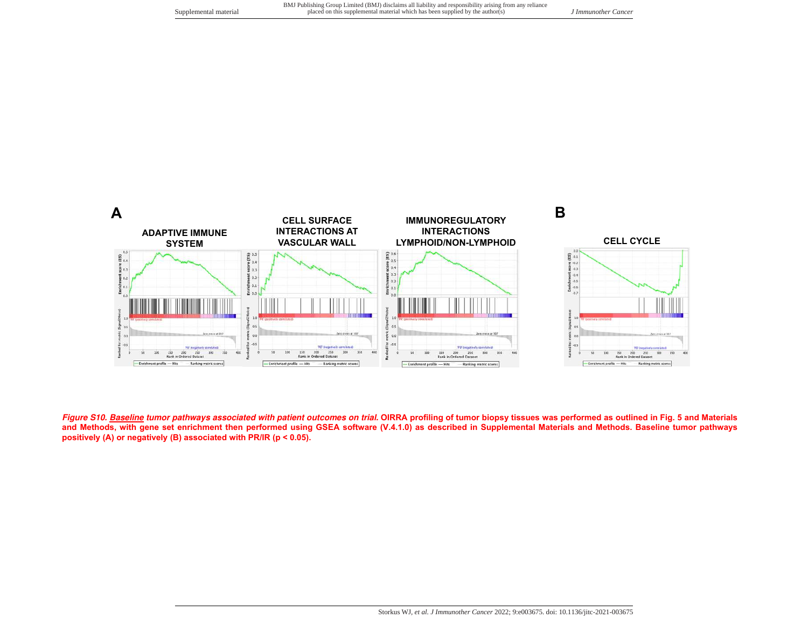

**Figure S10. Baseline tumor pathways associated with patient outcomes on trial. OIRRA profiling of tumor biopsy tissues was performed as outlined in Fig. 5 and Materials and Methods, with gene set enrichment then performed using GSEA software (V.4.1.0) as described in Supplemental Materials and Methods. Baseline tumor pathways positively (A) or negatively (B) associated with PR/IR (p < 0.05).**